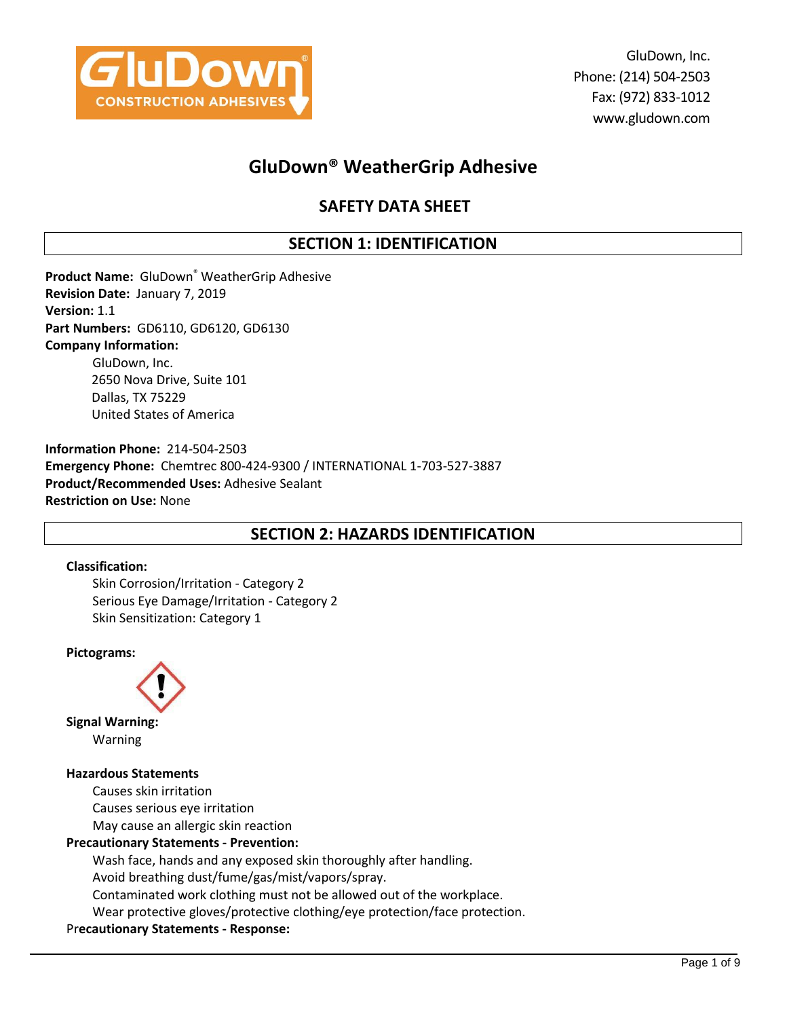

GluDown, Inc. Phone: (214) 504-2503 Fax: (972) 833-1012 www.gludown.com

# **GluDown® WeatherGrip Adhesive**

# **SAFETY DATA SHEET**

## **SECTION 1: IDENTIFICATION**

**Product Name:** GluDown® WeatherGrip Adhesive **Revision Date:** January 7, 2019 **Version:** 1.1 **Part Numbers:** GD6110, GD6120, GD6130 **Company Information:** GluDown, Inc. 2650 Nova Drive, Suite 101 Dallas, TX 75229 United States of America

**Information Phone:** 214-504-2503 **Emergency Phone:** Chemtrec 800-424-9300 / INTERNATIONAL 1-703-527-3887 **Product/Recommended Uses:** Adhesive Sealant **Restriction on Use:** None

## **SECTION 2: HAZARDS IDENTIFICATION**

### **Classification:**

Skin Corrosion/Irritation - Category 2 Serious Eye Damage/Irritation - Category 2 Skin Sensitization: Category 1

### **Pictograms:**



**Signal Warning:** Warning

### **Hazardous Statements**

Causes skin irritation Causes serious eye irritation May cause an allergic skin reaction

## **Precautionary Statements - Prevention:**

Wash face, hands and any exposed skin thoroughly after handling. Avoid breathing dust/fume/gas/mist/vapors/spray. Contaminated work clothing must not be allowed out of the workplace. Wear protective gloves/protective clothing/eye protection/face protection.

### Pr**ecautionary Statements - Response:**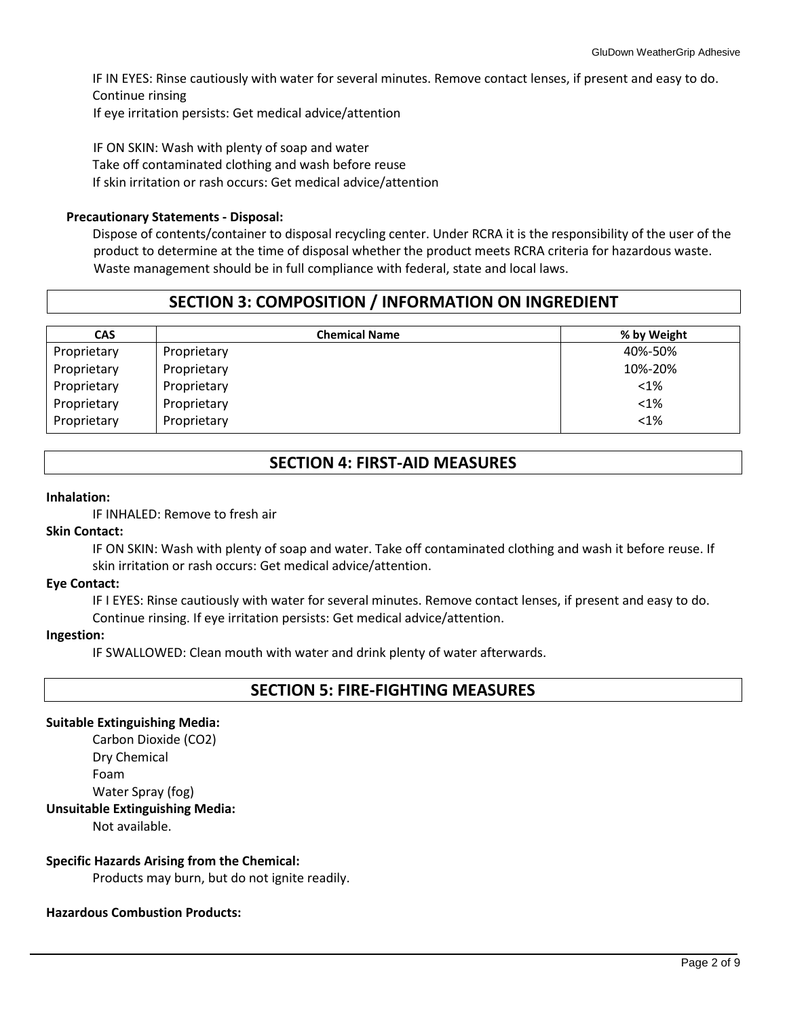IF IN EYES: Rinse cautiously with water for several minutes. Remove contact lenses, if present and easy to do. Continue rinsing If eye irritation persists: Get medical advice/attention

IF ON SKIN: Wash with plenty of soap and water Take off contaminated clothing and wash before reuse If skin irritation or rash occurs: Get medical advice/attention

### **Precautionary Statements - Disposal:**

Dispose of contents/container to disposal recycling center. Under RCRA it is the responsibility of the user of the product to determine at the time of disposal whether the product meets RCRA criteria for hazardous waste. Waste management should be in full compliance with federal, state and local laws.

## **SECTION 3: COMPOSITION / INFORMATION ON INGREDIENT**

| <b>CAS</b>  | <b>Chemical Name</b> | % by Weight |
|-------------|----------------------|-------------|
| Proprietary | Proprietary          | 40%-50%     |
| Proprietary | Proprietary          | 10%-20%     |
| Proprietary | Proprietary          | $<$ 1%      |
| Proprietary | Proprietary          | $< 1\%$     |
| Proprietary | Proprietary          | $<1\%$      |

## **SECTION 4: FIRST-AID MEASURES**

### **Inhalation:**

IF INHALED: Remove to fresh air

### **Skin Contact:**

IF ON SKIN: Wash with plenty of soap and water. Take off contaminated clothing and wash it before reuse. If skin irritation or rash occurs: Get medical advice/attention.

### **Eye Contact:**

IF I EYES: Rinse cautiously with water for several minutes. Remove contact lenses, if present and easy to do. Continue rinsing. If eye irritation persists: Get medical advice/attention.

### **Ingestion:**

IF SWALLOWED: Clean mouth with water and drink plenty of water afterwards.

## **SECTION 5: FIRE-FIGHTING MEASURES**

### **Suitable Extinguishing Media:**

Carbon Dioxide (CO2) Dry Chemical Foam Water Spray (fog) **Unsuitable Extinguishing Media:** 

Not available.

### **Specific Hazards Arising from the Chemical:**

Products may burn, but do not ignite readily.

### **Hazardous Combustion Products:**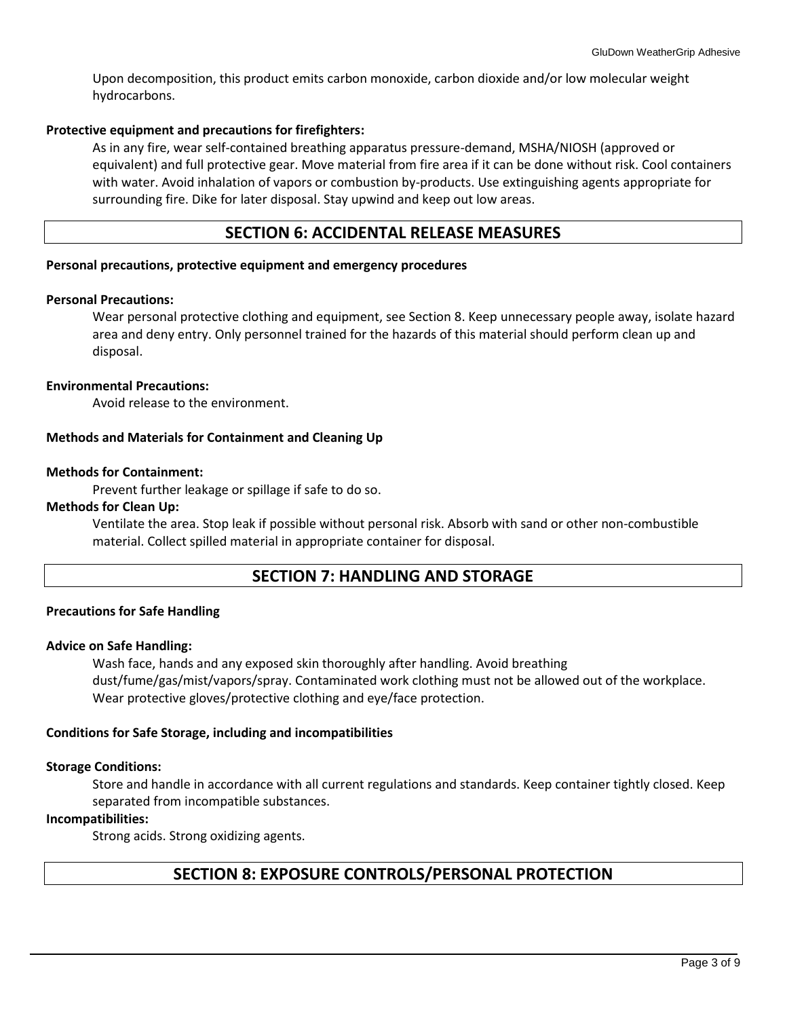Upon decomposition, this product emits carbon monoxide, carbon dioxide and/or low molecular weight hydrocarbons.

### **Protective equipment and precautions for firefighters:**

As in any fire, wear self-contained breathing apparatus pressure-demand, MSHA/NIOSH (approved or equivalent) and full protective gear. Move material from fire area if it can be done without risk. Cool containers with water. Avoid inhalation of vapors or combustion by-products. Use extinguishing agents appropriate for surrounding fire. Dike for later disposal. Stay upwind and keep out low areas.

## **SECTION 6: ACCIDENTAL RELEASE MEASURES**

### **Personal precautions, protective equipment and emergency procedures**

### **Personal Precautions:**

Wear personal protective clothing and equipment, see Section 8. Keep unnecessary people away, isolate hazard area and deny entry. Only personnel trained for the hazards of this material should perform clean up and disposal.

### **Environmental Precautions:**

Avoid release to the environment.

### **Methods and Materials for Containment and Cleaning Up**

### **Methods for Containment:**

Prevent further leakage or spillage if safe to do so.

### **Methods for Clean Up:**

Ventilate the area. Stop leak if possible without personal risk. Absorb with sand or other non-combustible material. Collect spilled material in appropriate container for disposal.

## **SECTION 7: HANDLING AND STORAGE**

### **Precautions for Safe Handling**

### **Advice on Safe Handling:**

Wash face, hands and any exposed skin thoroughly after handling. Avoid breathing dust/fume/gas/mist/vapors/spray. Contaminated work clothing must not be allowed out of the workplace. Wear protective gloves/protective clothing and eye/face protection.

### **Conditions for Safe Storage, including and incompatibilities**

### **Storage Conditions:**

Store and handle in accordance with all current regulations and standards. Keep container tightly closed. Keep separated from incompatible substances.

### **Incompatibilities:**

Strong acids. Strong oxidizing agents.

## **SECTION 8: EXPOSURE CONTROLS/PERSONAL PROTECTION**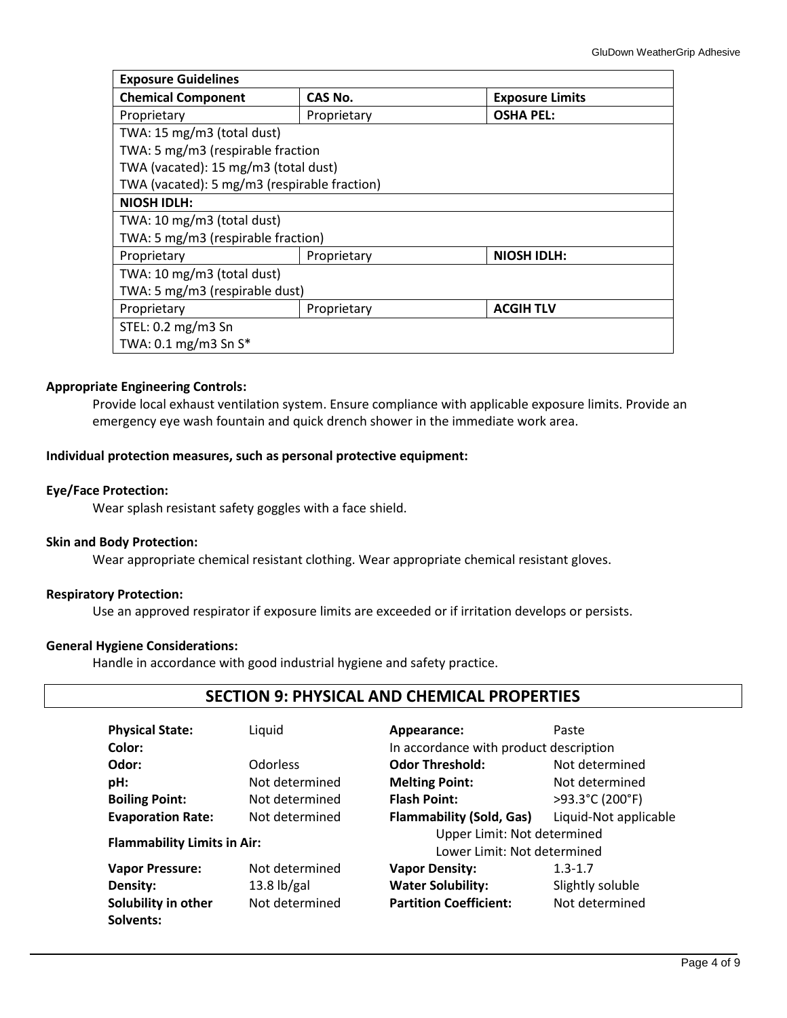| <b>Exposure Guidelines</b>                       |                                 |                        |  |  |  |  |
|--------------------------------------------------|---------------------------------|------------------------|--|--|--|--|
| <b>Chemical Component</b>                        | CAS No.                         | <b>Exposure Limits</b> |  |  |  |  |
| Proprietary                                      | <b>OSHA PEL:</b><br>Proprietary |                        |  |  |  |  |
| TWA: 15 mg/m3 (total dust)                       |                                 |                        |  |  |  |  |
| TWA: 5 mg/m3 (respirable fraction                |                                 |                        |  |  |  |  |
| TWA (vacated): 15 mg/m3 (total dust)             |                                 |                        |  |  |  |  |
| TWA (vacated): 5 mg/m3 (respirable fraction)     |                                 |                        |  |  |  |  |
| <b>NIOSH IDLH:</b>                               |                                 |                        |  |  |  |  |
| TWA: 10 mg/m3 (total dust)                       |                                 |                        |  |  |  |  |
| TWA: 5 mg/m3 (respirable fraction)               |                                 |                        |  |  |  |  |
| <b>NIOSH IDLH:</b><br>Proprietary<br>Proprietary |                                 |                        |  |  |  |  |
| TWA: 10 mg/m3 (total dust)                       |                                 |                        |  |  |  |  |
| TWA: 5 mg/m3 (respirable dust)                   |                                 |                        |  |  |  |  |
| <b>ACGIH TLV</b><br>Proprietary<br>Proprietary   |                                 |                        |  |  |  |  |
| STEL: 0.2 mg/m3 Sn                               |                                 |                        |  |  |  |  |
| TWA: $0.1 \text{ mg/m}$ 3 Sn S*                  |                                 |                        |  |  |  |  |

### **Appropriate Engineering Controls:**

Provide local exhaust ventilation system. Ensure compliance with applicable exposure limits. Provide an emergency eye wash fountain and quick drench shower in the immediate work area.

### **Individual protection measures, such as personal protective equipment:**

### **Eye/Face Protection:**

Wear splash resistant safety goggles with a face shield.

### **Skin and Body Protection:**

Wear appropriate chemical resistant clothing. Wear appropriate chemical resistant gloves.

### **Respiratory Protection:**

Use an approved respirator if exposure limits are exceeded or if irritation develops or persists.

### **General Hygiene Considerations:**

Handle in accordance with good industrial hygiene and safety practice.

## **SECTION 9: PHYSICAL AND CHEMICAL PROPERTIES**

| <b>Physical State:</b>             | Liquid             | Appearance:                            | Paste                 |  |
|------------------------------------|--------------------|----------------------------------------|-----------------------|--|
| Color:                             |                    | In accordance with product description |                       |  |
| Odor:                              | <b>Odorless</b>    | <b>Odor Threshold:</b>                 | Not determined        |  |
| pH:                                | Not determined     | <b>Melting Point:</b>                  | Not determined        |  |
| <b>Boiling Point:</b>              | Not determined     | <b>Flash Point:</b>                    | >93.3°C (200°F)       |  |
| <b>Evaporation Rate:</b>           | Not determined     | <b>Flammability (Sold, Gas)</b>        | Liquid-Not applicable |  |
|                                    |                    | Upper Limit: Not determined            |                       |  |
| <b>Flammability Limits in Air:</b> |                    | Lower Limit: Not determined            |                       |  |
| <b>Vapor Pressure:</b>             | Not determined     | <b>Vapor Density:</b>                  | $1.3 - 1.7$           |  |
| Density:                           | 13.8 $\frac{1}{2}$ | <b>Water Solubility:</b>               | Slightly soluble      |  |
| Solubility in other                | Not determined     | <b>Partition Coefficient:</b>          | Not determined        |  |
| Solvents:                          |                    |                                        |                       |  |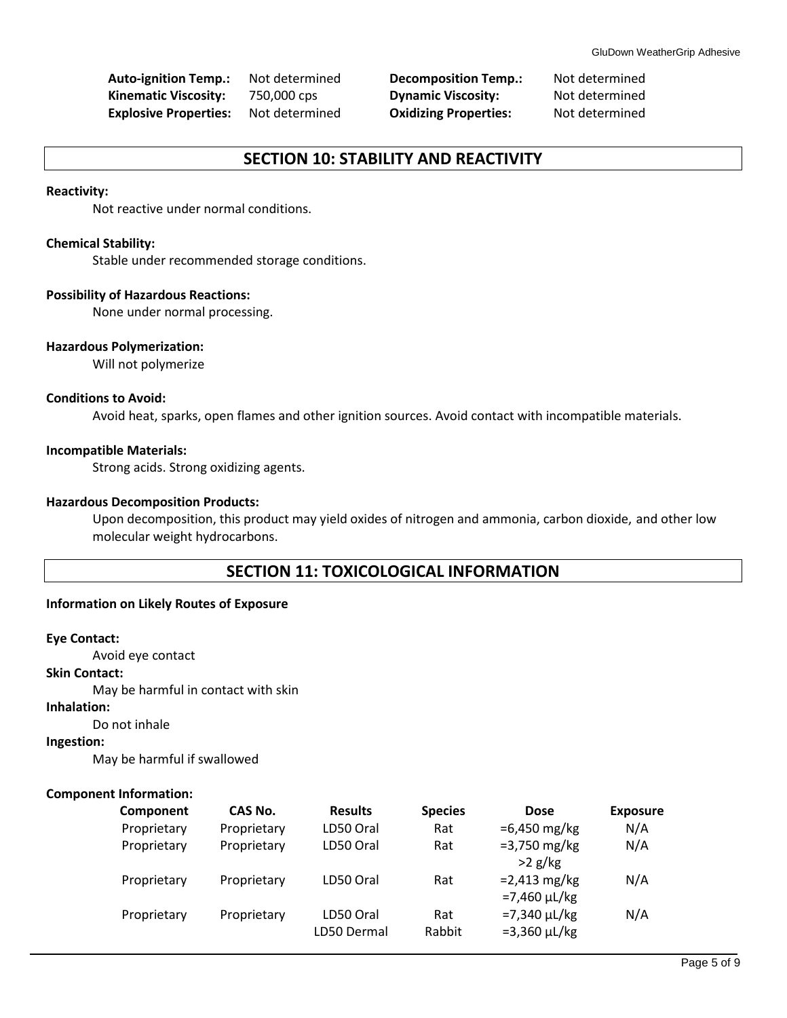**Auto-ignition Temp.:** Not determined **Decomposition Temp.:** Not determined **Kinematic Viscosity:** 750,000 cps **Dynamic Viscosity:** Not determined **Explosive Properties:** Not determined **Oxidizing Properties:** Not determined

## **SECTION 10: STABILITY AND REACTIVITY**

### **Reactivity:**

Not reactive under normal conditions.

#### **Chemical Stability:**

Stable under recommended storage conditions.

### **Possibility of Hazardous Reactions:**

None under normal processing.

#### **Hazardous Polymerization:**

Will not polymerize

### **Conditions to Avoid:**

Avoid heat, sparks, open flames and other ignition sources. Avoid contact with incompatible materials.

#### **Incompatible Materials:**

Strong acids. Strong oxidizing agents.

### **Hazardous Decomposition Products:**

Upon decomposition, this product may yield oxides of nitrogen and ammonia, carbon dioxide, and other low molecular weight hydrocarbons.

### **SECTION 11: TOXICOLOGICAL INFORMATION**

### **Information on Likely Routes of Exposure**

#### **Eye Contact:**

Avoid eye contact

## **Skin Contact:**

May be harmful in contact with skin

### **Inhalation:**

Do not inhale

### **Ingestion:**

May be harmful if swallowed

### **Component Information:**

| Component   | CAS No.     | <b>Results</b>           | <b>Species</b> | <b>Dose</b>                              | <b>Exposure</b> |
|-------------|-------------|--------------------------|----------------|------------------------------------------|-----------------|
| Proprietary | Proprietary | LD50 Oral                | Rat            | $=6,450 \,\mathrm{mg/kg}$                | N/A             |
| Proprietary | Proprietary | LD50 Oral                | Rat            | $= 3,750 \text{ mg/kg}$<br>$>2$ g/kg     | N/A             |
| Proprietary | Proprietary | LD50 Oral                | Rat            | $= 2,413$ mg/kg<br>$=7,460 \mu L/kg$     | N/A             |
| Proprietary | Proprietary | LD50 Oral<br>LD50 Dermal | Rat<br>Rabbit  | $= 7,340 \mu L/kg$<br>$= 3,360 \mu L/kg$ | N/A             |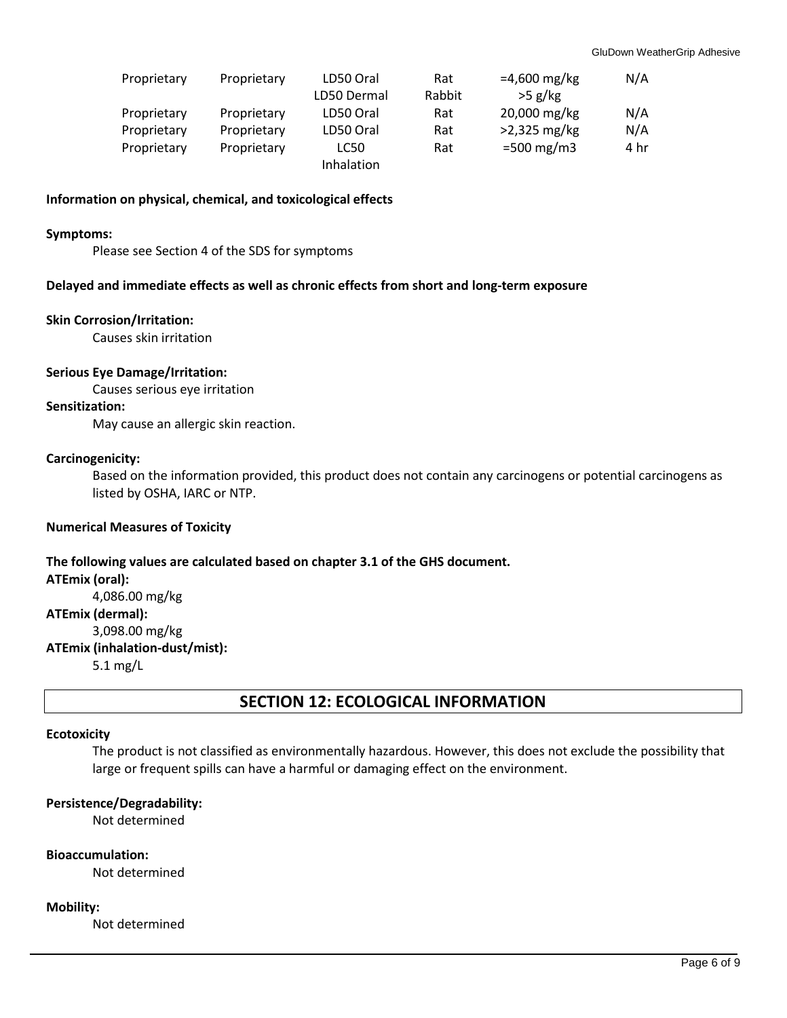| Proprietary | Proprietary | LD50 Oral   | Rat    | $=4,600 \text{ mg/kg}$ | N/A  |
|-------------|-------------|-------------|--------|------------------------|------|
|             |             | LD50 Dermal | Rabbit | $>5$ g/kg              |      |
| Proprietary | Proprietary | LD50 Oral   | Rat    | 20,000 mg/kg           | N/A  |
| Proprietary | Proprietary | LD50 Oral   | Rat    | $>2,325$ mg/kg         | N/A  |
| Proprietary | Proprietary | LC50        | Rat    | $=500 \text{ mg/m}$ 3  | 4 hr |
|             |             | Inhalation  |        |                        |      |

### **Information on physical, chemical, and toxicological effects**

#### **Symptoms:**

Please see Section 4 of the SDS for symptoms

#### **Delayed and immediate effects as well as chronic effects from short and long-term exposure**

### **Skin Corrosion/Irritation:**

Causes skin irritation

#### **Serious Eye Damage/Irritation:**

Causes serious eye irritation

### **Sensitization:**

May cause an allergic skin reaction.

#### **Carcinogenicity:**

Based on the information provided, this product does not contain any carcinogens or potential carcinogens as listed by OSHA, IARC or NTP.

### **Numerical Measures of Toxicity**

## **The following values are calculated based on chapter 3.1 of the GHS document. ATEmix (oral):** 4,086.00 mg/kg **ATEmix (dermal):** 3,098.00 mg/kg **ATEmix (inhalation-dust/mist):** 5.1 mg/L

## **SECTION 12: ECOLOGICAL INFORMATION**

#### **Ecotoxicity**

The product is not classified as environmentally hazardous. However, this does not exclude the possibility that large or frequent spills can have a harmful or damaging effect on the environment.

### **Persistence/Degradability:**

Not determined

#### **Bioaccumulation:**

Not determined

#### **Mobility:**

Not determined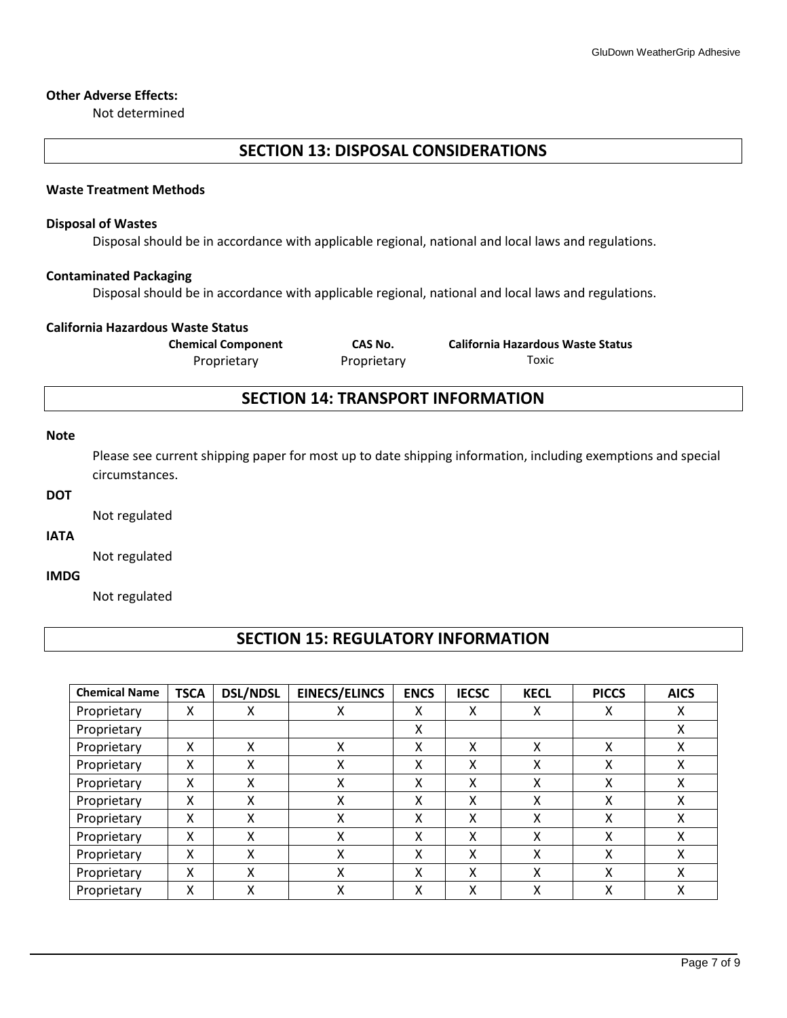#### **Other Adverse Effects:**

Not determined

## **SECTION 13: DISPOSAL CONSIDERATIONS**

#### **Waste Treatment Methods**

#### **Disposal of Wastes**

Disposal should be in accordance with applicable regional, national and local laws and regulations.

### **Contaminated Packaging**

Disposal should be in accordance with applicable regional, national and local laws and regulations.

### **California Hazardous Waste Status**

**Chemical Component CAS No. California Hazardous Waste Status** Proprietary Proprietary Toxic

## **SECTION 14: TRANSPORT INFORMATION**

#### **Note**

Please see current shipping paper for most up to date shipping information, including exemptions and special circumstances.

### **DOT**

Not regulated

### **IATA**

Not regulated

### **IMDG**

Not regulated

## **SECTION 15: REGULATORY INFORMATION**

| <b>Chemical Name</b> | <b>TSCA</b> | <b>DSL/NDSL</b> | <b>EINECS/ELINCS</b> | <b>ENCS</b> | <b>IECSC</b> | <b>KECL</b> | <b>PICCS</b> | <b>AICS</b> |
|----------------------|-------------|-----------------|----------------------|-------------|--------------|-------------|--------------|-------------|
| Proprietary          | Χ           | х               | ∧                    | Χ           | x            | х           | x            | X           |
| Proprietary          |             |                 |                      | Χ           |              |             |              | Χ           |
| Proprietary          | Χ           | χ               | v<br>∧               | X           | χ            | χ           | x            | x           |
| Proprietary          | x           | x               | v<br>v               | Χ           | X            | x           | χ            | X           |
| Proprietary          | X           | x               | χ                    | χ           | x            | x           | X            | X           |
| Proprietary          | Χ           | x               | Χ                    | X           | x            | χ           | χ            | X           |
| Proprietary          | Χ           | x               | χ                    | χ           | X            | χ           | χ            | X           |
| Proprietary          | x           | x               | χ                    | χ           | x            | χ           | χ            | x           |
| Proprietary          | χ           | x               | v<br>л               | Χ           | X            | χ           | χ            | χ           |
| Proprietary          | x           | x               | v<br>∧               | X           | X            | X           | X            | χ           |
| Proprietary          | x           |                 | v                    | χ           | х            | χ           | χ            | χ           |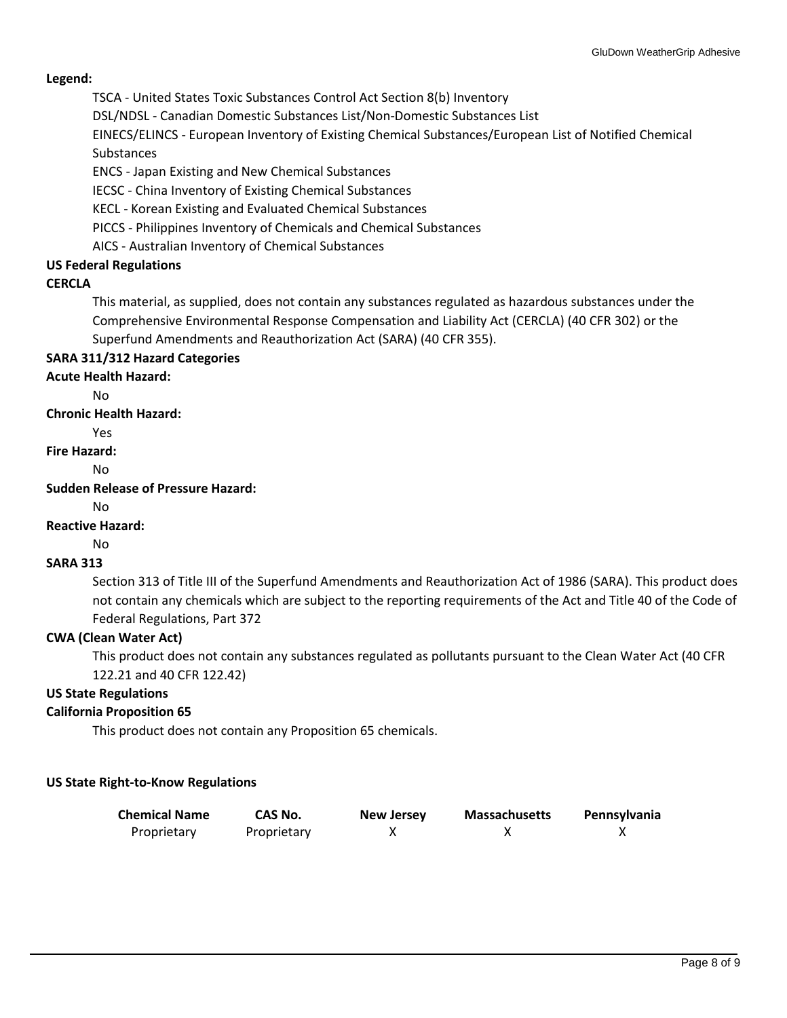### **Legend:**

TSCA - United States Toxic Substances Control Act Section 8(b) Inventory

DSL/NDSL - Canadian Domestic Substances List/Non-Domestic Substances List

EINECS/ELINCS - European Inventory of Existing Chemical Substances/European List of Notified Chemical Substances

ENCS - Japan Existing and New Chemical Substances

IECSC - China Inventory of Existing Chemical Substances

KECL - Korean Existing and Evaluated Chemical Substances

PICCS - Philippines Inventory of Chemicals and Chemical Substances

AICS - Australian Inventory of Chemical Substances

### **US Federal Regulations**

### **CERCLA**

This material, as supplied, does not contain any substances regulated as hazardous substances under the Comprehensive Environmental Response Compensation and Liability Act (CERCLA) (40 CFR 302) or the Superfund Amendments and Reauthorization Act (SARA) (40 CFR 355).

### **SARA 311/312 Hazard Categories**

### **Acute Health Hazard:**

 $N<sub>0</sub>$ 

**Chronic Health Hazard:**

Yes

**Fire Hazard:**

No

**Sudden Release of Pressure Hazard:**

# $N<sub>0</sub>$

## **Reactive Hazard:**

No

### **SARA 313**

Section 313 of Title III of the Superfund Amendments and Reauthorization Act of 1986 (SARA). This product does not contain any chemicals which are subject to the reporting requirements of the Act and Title 40 of the Code of Federal Regulations, Part 372

### **CWA (Clean Water Act)**

This product does not contain any substances regulated as pollutants pursuant to the Clean Water Act (40 CFR 122.21 and 40 CFR 122.42)

### **US State Regulations**

### **California Proposition 65**

This product does not contain any Proposition 65 chemicals.

### **US State Right-to-Know Regulations**

| <b>Chemical Name</b> | CAS No.     | <b>New Jersey</b> | <b>Massachusetts</b> | Pennsylvania |
|----------------------|-------------|-------------------|----------------------|--------------|
| Proprietary          | Proprietary |                   |                      |              |